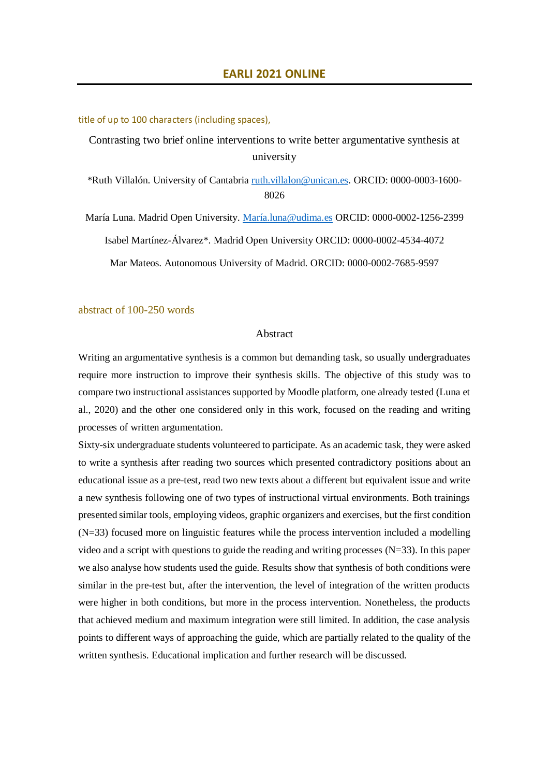title of up to 100 characters (including spaces),

Contrasting two brief online interventions to write better argumentative synthesis at university

\*Ruth Villalón. University of Cantabria [ruth.villalon@unican.es.](mailto:ruth.villalon@unican.es) ORCID: 0000-0003-1600- 8026

María Luna. Madrid Open University. [María.luna@udima.es](mailto:María.luna@udima.es) ORCID: 0000-0002-1256-2399 Isabel Martínez-Álvarez\*. Madrid Open University ORCID: 0000-0002-4534-4072 Mar Mateos. Autonomous University of Madrid. ORCID: 0000-0002-7685-9597

abstract of 100-250 words

## Abstract

Writing an argumentative synthesis is a common but demanding task, so usually undergraduates require more instruction to improve their synthesis skills. The objective of this study was to compare two instructional assistances supported by Moodle platform, one already tested (Luna et al., 2020) and the other one considered only in this work, focused on the reading and writing processes of written argumentation.

Sixty-six undergraduate students volunteered to participate. As an academic task, they were asked to write a synthesis after reading two sources which presented contradictory positions about an educational issue as a pre-test, read two new texts about a different but equivalent issue and write a new synthesis following one of two types of instructional virtual environments. Both trainings presented similar tools, employing videos, graphic organizers and exercises, but the first condition (N=33) focused more on linguistic features while the process intervention included a modelling video and a script with questions to guide the reading and writing processes (N=33). In this paper we also analyse how students used the guide. Results show that synthesis of both conditions were similar in the pre-test but, after the intervention, the level of integration of the written products were higher in both conditions, but more in the process intervention. Nonetheless, the products that achieved medium and maximum integration were still limited. In addition, the case analysis points to different ways of approaching the guide, which are partially related to the quality of the written synthesis. Educational implication and further research will be discussed.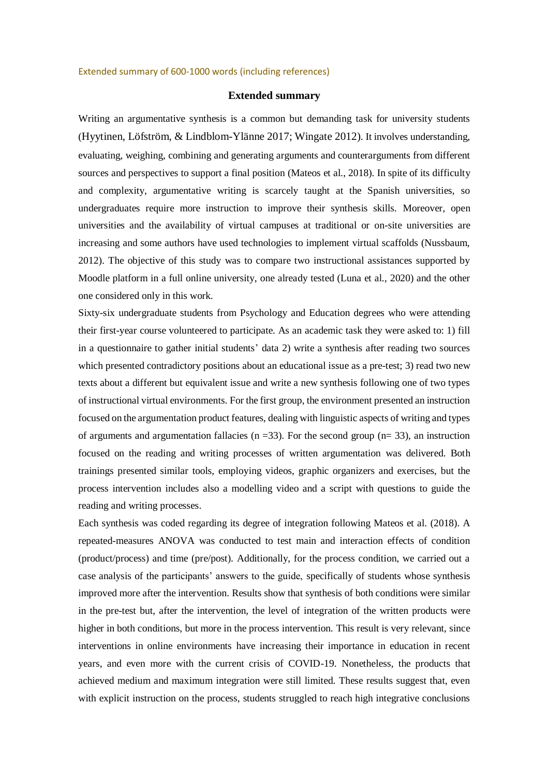## Extended summary of 600-1000 words (including references)

## **Extended summary**

Writing an argumentative synthesis is a common but demanding task for university students (Hyytinen, Löfström, & Lindblom-Ylänne 2017; Wingate 2012). It involves understanding, evaluating, weighing, combining and generating arguments and counterarguments from different sources and perspectives to support a final position (Mateos et al., 2018). In spite of its difficulty and complexity, argumentative writing is scarcely taught at the Spanish universities, so undergraduates require more instruction to improve their synthesis skills. Moreover, open universities and the availability of virtual campuses at traditional or on-site universities are increasing and some authors have used technologies to implement virtual scaffolds (Nussbaum, 2012). The objective of this study was to compare two instructional assistances supported by Moodle platform in a full online university, one already tested (Luna et al., 2020) and the other one considered only in this work.

Sixty-six undergraduate students from Psychology and Education degrees who were attending their first-year course volunteered to participate. As an academic task they were asked to: 1) fill in a questionnaire to gather initial students' data 2) write a synthesis after reading two sources which presented contradictory positions about an educational issue as a pre-test; 3) read two new texts about a different but equivalent issue and write a new synthesis following one of two types of instructional virtual environments. For the first group, the environment presented an instruction focused on the argumentation product features, dealing with linguistic aspects of writing and types of arguments and argumentation fallacies ( $n = 33$ ). For the second group ( $n = 33$ ), an instruction focused on the reading and writing processes of written argumentation was delivered. Both trainings presented similar tools, employing videos, graphic organizers and exercises, but the process intervention includes also a modelling video and a script with questions to guide the reading and writing processes.

Each synthesis was coded regarding its degree of integration following Mateos et al. (2018). A repeated-measures ANOVA was conducted to test main and interaction effects of condition (product/process) and time (pre/post). Additionally, for the process condition, we carried out a case analysis of the participants' answers to the guide, specifically of students whose synthesis improved more after the intervention. Results show that synthesis of both conditions were similar in the pre-test but, after the intervention, the level of integration of the written products were higher in both conditions, but more in the process intervention. This result is very relevant, since interventions in online environments have increasing their importance in education in recent years, and even more with the current crisis of COVID-19. Nonetheless, the products that achieved medium and maximum integration were still limited. These results suggest that, even with explicit instruction on the process, students struggled to reach high integrative conclusions